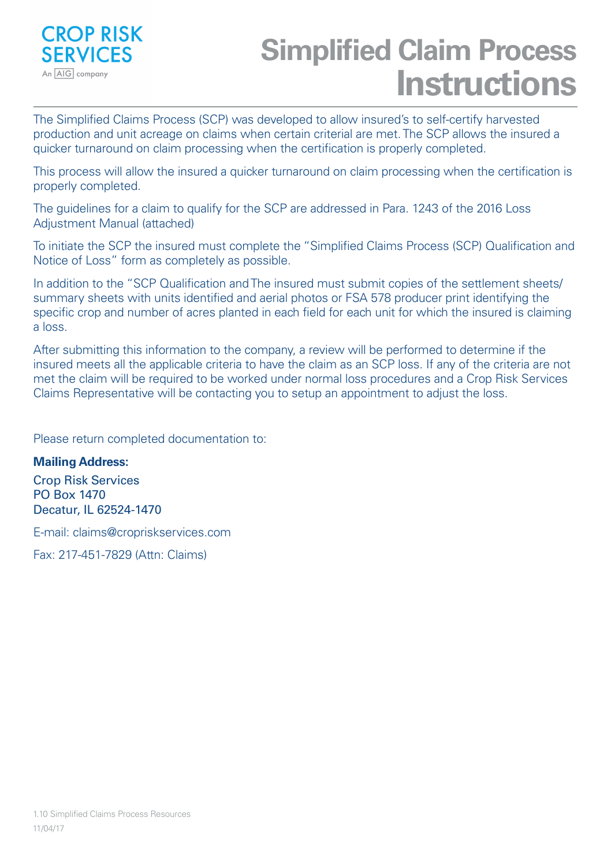

# **Simplified Claim Process Instructions**

The Simplified Claims Process (SCP) was developed to allow insured's to self-certify harvested production and unit acreage on claims when certain criterial are met. The SCP allows the insured a quicker turnaround on claim processing when the certification is properly completed.

This process will allow the insured a quicker turnaround on claim processing when the certification is properly completed.

The guidelines for a claim to qualify for the SCP are addressed in Para. 1243 of the 2016 Loss Adjustment Manual (attached)

To initiate the SCP the insured must complete the "Simplified Claims Process (SCP) Qualification and Notice of Loss" form as completely as possible.

In addition to the "SCP Qualification and The insured must submit copies of the settlement sheets/ summary sheets with units identified and aerial photos or FSA 578 producer print identifying the specific crop and number of acres planted in each field for each unit for which the insured is claiming a loss.

After submitting this information to the company, a review will be performed to determine if the insured meets all the applicable criteria to have the claim as an SCP loss. If any of the criteria are not met the claim will be required to be worked under normal loss procedures and a Crop Risk Services Claims Representative will be contacting you to setup an appointment to adjust the loss.

Please return completed documentation to:

## **Mailing Address:**

Crop Risk Services PO Box 1470 Decatur, IL 62524-1470

E-mail: claims@cropriskservices.com

Fax: 217-451-7829 (Attn: Claims)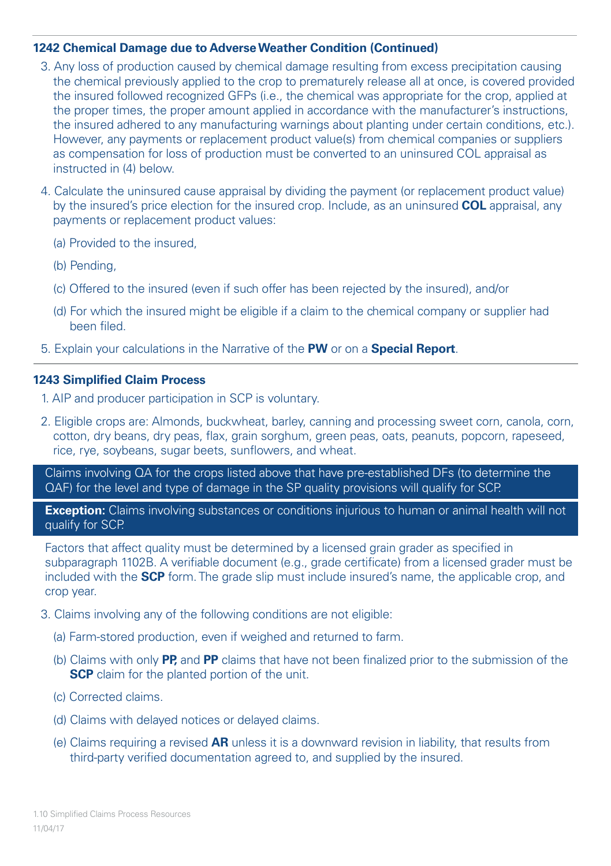### **1242 Chemical Damage due to Adverse Weather Condition (Continued)**

- 3. Any loss of production caused by chemical damage resulting from excess precipitation causing the chemical previously applied to the crop to prematurely release all at once, is covered provided the insured followed recognized GFPs (i.e., the chemical was appropriate for the crop, applied at the proper times, the proper amount applied in accordance with the manufacturer's instructions, the insured adhered to any manufacturing warnings about planting under certain conditions, etc.). However, any payments or replacement product value(s) from chemical companies or suppliers as compensation for loss of production must be converted to an uninsured COL appraisal as instructed in (4) below.
- 4. Calculate the uninsured cause appraisal by dividing the payment (or replacement product value) by the insured's price election for the insured crop. Include, as an uninsured **COL** appraisal, any payments or replacement product values:
	- (a) Provided to the insured,
	- (b) Pending,
	- (c) Offered to the insured (even if such offer has been rejected by the insured), and/or
	- (d) For which the insured might be eligible if a claim to the chemical company or supplier had been filed.
- 5. Explain your calculations in the Narrative of the **PW** or on a **Special Report**.

#### **1243 Simplified Claim Process**

- 1. AIP and producer participation in SCP is voluntary.
- 2. Eligible crops are: Almonds, buckwheat, barley, canning and processing sweet corn, canola, corn, cotton, dry beans, dry peas, flax, grain sorghum, green peas, oats, peanuts, popcorn, rapeseed, rice, rye, soybeans, sugar beets, sunflowers, and wheat.

Claims involving QA for the crops listed above that have pre-established DFs (to determine the QAF) for the level and type of damage in the SP quality provisions will qualify for SCP.

**Exception:** Claims involving substances or conditions injurious to human or animal health will not qualify for SCP.

Factors that affect quality must be determined by a licensed grain grader as specified in subparagraph 1102B. A verifiable document (e.g., grade certificate) from a licensed grader must be included with the **SCP** form. The grade slip must include insured's name, the applicable crop, and crop year.

- 3. Claims involving any of the following conditions are not eligible:
	- (a) Farm-stored production, even if weighed and returned to farm.
	- (b) Claims with only **PP,** and **PP** claims that have not been finalized prior to the submission of the **SCP** claim for the planted portion of the unit.
	- (c) Corrected claims.
	- (d) Claims with delayed notices or delayed claims.
	- (e) Claims requiring a revised **AR** unless it is a downward revision in liability, that results from third-party verified documentation agreed to, and supplied by the insured.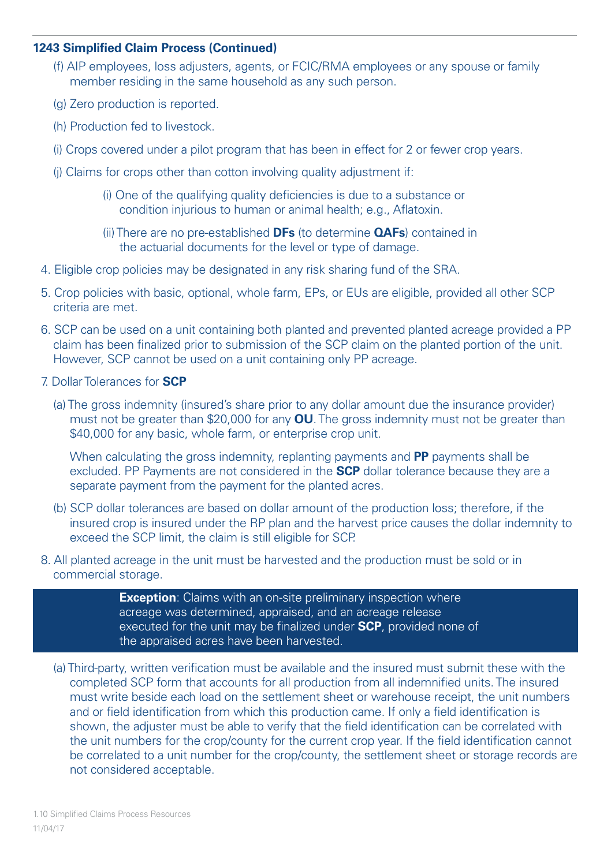#### **1243 Simplified Claim Process (Continued)**

- (f) AIP employees, loss adjusters, agents, or FCIC/RMA employees or any spouse or family member residing in the same household as any such person.
- (g) Zero production is reported.
- (h) Production fed to livestock.
- (i) Crops covered under a pilot program that has been in effect for 2 or fewer crop years.
- (j) Claims for crops other than cotton involving quality adjustment if:
	- (i) One of the qualifying quality deficiencies is due to a substance or condition injurious to human or animal health; e.g., Aflatoxin.
	- (ii) There are no pre-established **DFs** (to determine **QAFs**) contained in the actuarial documents for the level or type of damage.
- 4. Eligible crop policies may be designated in any risk sharing fund of the SRA.
- 5. Crop policies with basic, optional, whole farm, EPs, or EUs are eligible, provided all other SCP criteria are met.
- 6. SCP can be used on a unit containing both planted and prevented planted acreage provided a PP claim has been finalized prior to submission of the SCP claim on the planted portion of the unit. However, SCP cannot be used on a unit containing only PP acreage.
- 7. Dollar Tolerances for **SCP**
	- (a) The gross indemnity (insured's share prior to any dollar amount due the insurance provider) must not be greater than \$20,000 for any **OU**. The gross indemnity must not be greater than \$40,000 for any basic, whole farm, or enterprise crop unit.

When calculating the gross indemnity, replanting payments and **PP** payments shall be excluded. PP Payments are not considered in the **SCP** dollar tolerance because they are a separate payment from the payment for the planted acres.

- (b) SCP dollar tolerances are based on dollar amount of the production loss; therefore, if the insured crop is insured under the RP plan and the harvest price causes the dollar indemnity to exceed the SCP limit, the claim is still eligible for SCP.
- 8. All planted acreage in the unit must be harvested and the production must be sold or in commercial storage.

**Exception**: Claims with an on-site preliminary inspection where acreage was determined, appraised, and an acreage release executed for the unit may be finalized under **SCP**, provided none of the appraised acres have been harvested.

(a) Third-party, written verification must be available and the insured must submit these with the completed SCP form that accounts for all production from all indemnified units. The insured must write beside each load on the settlement sheet or warehouse receipt, the unit numbers and or field identification from which this production came. If only a field identification is shown, the adjuster must be able to verify that the field identification can be correlated with the unit numbers for the crop/county for the current crop year. If the field identification cannot be correlated to a unit number for the crop/county, the settlement sheet or storage records are not considered acceptable.